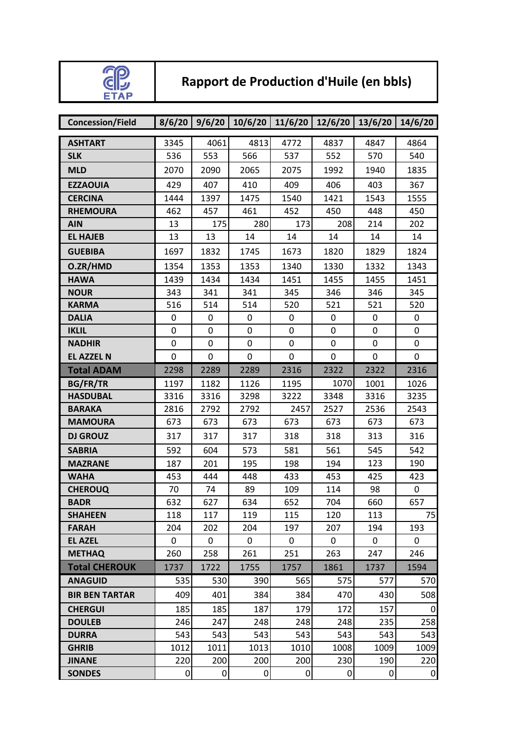

## **Rapport de Production d'Huile (en bbls)**

| <b>Concession/Field</b> | 8/6/20           | 9/6/20    | 10/6/20 | 11/6/20        | 12/6/20     | 13/6/20     | 14/6/20        |
|-------------------------|------------------|-----------|---------|----------------|-------------|-------------|----------------|
| <b>ASHTART</b>          | 3345             | 4061      | 4813    | 4772           | 4837        | 4847        | 4864           |
| <b>SLK</b>              | 536              | 553       | 566     | 537            | 552         | 570         | 540            |
| <b>MLD</b>              | 2070             | 2090      | 2065    | 2075           | 1992        | 1940        | 1835           |
| <b>EZZAOUIA</b>         | 429              | 407       | 410     | 409            | 406         | 403         | 367            |
| <b>CERCINA</b>          | 1444             | 1397      | 1475    | 1540           | 1421        | 1543        | 1555           |
| <b>RHEMOURA</b>         | 462              | 457       | 461     | 452            | 450         | 448         | 450            |
| <b>AIN</b>              | 13               | 175       | 280     | 173            | 208         | 214         | 202            |
| <b>EL HAJEB</b>         | 13               | 13        | 14      | 14             | 14          | 14          | 14             |
| <b>GUEBIBA</b>          | 1697             | 1832      | 1745    | 1673           | 1820        | 1829        | 1824           |
| O.ZR/HMD                | 1354             | 1353      | 1353    | 1340           | 1330        | 1332        | 1343           |
| <b>HAWA</b>             | 1439             | 1434      | 1434    | 1451           | 1455        | 1455        | 1451           |
| <b>NOUR</b>             | 343              | 341       | 341     | 345            | 346         | 346         | 345            |
| <b>KARMA</b>            | 516              | 514       | 514     | 520            | 521         | 521         | 520            |
| <b>DALIA</b>            | 0                | 0         | 0       | 0              | $\mathbf 0$ | 0           | 0              |
| <b>IKLIL</b>            | 0                | 0         | 0       | 0              | $\pmb{0}$   | 0           | 0              |
| <b>NADHIR</b>           | $\mathbf 0$      | 0         | 0       | 0              | $\mathbf 0$ | $\mathbf 0$ | $\mathbf 0$    |
| <b>EL AZZEL N</b>       | $\mathbf 0$      | $\pmb{0}$ | 0       | $\pmb{0}$      | $\pmb{0}$   | 0           | $\mathbf 0$    |
| <b>Total ADAM</b>       | 2298             | 2289      | 2289    | 2316           | 2322        | 2322        | 2316           |
| <b>BG/FR/TR</b>         | 1197             | 1182      | 1126    | 1195           | 1070        | 1001        | 1026           |
| <b>HASDUBAL</b>         | 3316             | 3316      | 3298    | 3222           | 3348        | 3316        | 3235           |
| <b>BARAKA</b>           | 2816             | 2792      | 2792    | 2457           | 2527        | 2536        | 2543           |
| <b>MAMOURA</b>          | 673              | 673       | 673     | 673            | 673         | 673         | 673            |
| <b>DJ GROUZ</b>         | 317              | 317       | 317     | 318            | 318         | 313         | 316            |
| <b>SABRIA</b>           | 592              | 604       | 573     | 581            | 561         | 545         | 542            |
| <b>MAZRANE</b>          | 187              | 201       | 195     | 198            | 194         | 123         | 190            |
| <b>WAHA</b>             | 453              | 444       | 448     | 433            | 453         | 425         | 423            |
| <b>CHEROUQ</b>          | 70               | 74        | 89      | 109            | 114         | 98          | 0              |
| <b>BADR</b>             | 632              | 627       | 634     | 652            | 704         | 660         | 657            |
| <b>SHAHEEN</b>          | 118              | 117       | 119     | 115            | 120         | 113         | 75             |
| <b>FARAH</b>            | 204              | 202       | 204     | 197            | 207         | 194         | 193            |
| <b>EL AZEL</b>          | 0                | 0         | 0       | 0              | 0           | 0           | 0              |
| <b>METHAQ</b>           | 260              | 258       | 261     | 251            | 263         | 247         | 246            |
| <b>Total CHEROUK</b>    | 1737             | 1722      | 1755    | 1757           | 1861        | 1737        | 1594           |
| <b>ANAGUID</b>          | 535              | 530       | 390     | 565            | 575         | 577         | 570            |
| <b>BIR BEN TARTAR</b>   | 409              | 401       | 384     | 384            | 470         | 430         | 508            |
| <b>CHERGUI</b>          | 185              | 185       | 187     | 179            | 172         | 157         | 0              |
| <b>DOULEB</b>           | 246              | 247       | 248     | 248            | 248         | 235         | 258            |
| <b>DURRA</b>            | 543              | 543       | 543     | 543            | 543         | 543         | 543            |
| <b>GHRIB</b>            | 1012             | 1011      | 1013    | 1010           | 1008        | 1009        | 1009           |
| <b>JINANE</b>           | 220              | 200       | 200     | 200            | 230         | 190         | 220            |
| <b>SONDES</b>           | $\boldsymbol{0}$ | 0         | 0       | $\overline{0}$ | 0           | 0           | $\overline{0}$ |